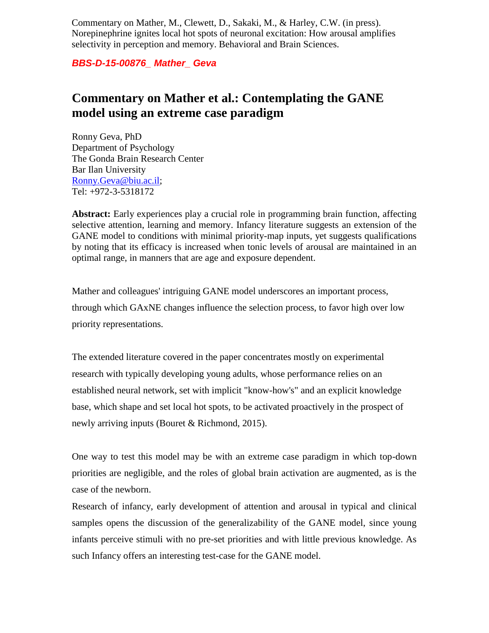Commentary on Mather, M., Clewett, D., Sakaki, M., & Harley, C.W. (in press). Norepinephrine ignites local hot spots of neuronal excitation: How arousal amplifies selectivity in perception and memory. Behavioral and Brain Sciences.

*BBS-D-15-00876\_ Mather\_ Geva*

# **Commentary on Mather et al.: Contemplating the GANE model using an extreme case paradigm**

Ronny Geva, PhD Department of Psychology The Gonda Brain Research Center Bar Ilan University [Ronny.Geva@biu.ac.il;](mailto:Ronny.Geva@biu.ac.il) Tel: +972-3-5318172

**Abstract:** Early experiences play a crucial role in programming brain function, affecting selective attention, learning and memory. Infancy literature suggests an extension of the GANE model to conditions with minimal priority-map inputs, yet suggests qualifications by noting that its efficacy is increased when tonic levels of arousal are maintained in an optimal range, in manners that are age and exposure dependent.

Mather and colleagues' intriguing GANE model underscores an important process, through which GAxNE changes influence the selection process, to favor high over low priority representations.

The extended literature covered in the paper concentrates mostly on experimental research with typically developing young adults, whose performance relies on an established neural network, set with implicit "know-how's" and an explicit knowledge base, which shape and set local hot spots, to be activated proactively in the prospect of newly arriving inputs (Bouret & Richmond, 2015).

One way to test this model may be with an extreme case paradigm in which top-down priorities are negligible, and the roles of global brain activation are augmented, as is the case of the newborn.

Research of infancy, early development of attention and arousal in typical and clinical samples opens the discussion of the generalizability of the GANE model, since young infants perceive stimuli with no pre-set priorities and with little previous knowledge. As such Infancy offers an interesting test-case for the GANE model.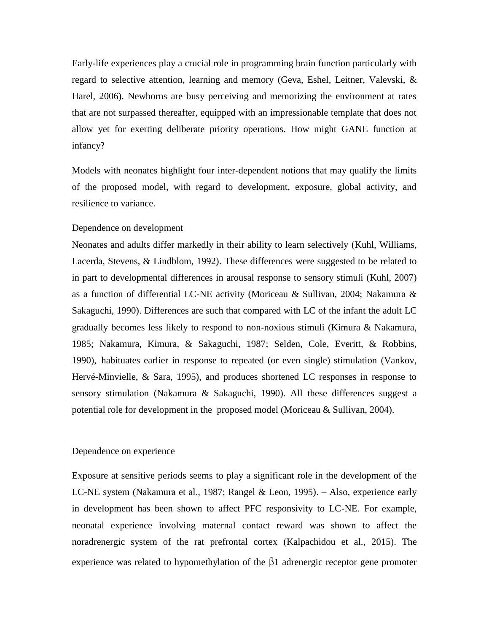Early-life experiences play a crucial role in programming brain function particularly with regard to selective attention, learning and memory (Geva, Eshel, Leitner, Valevski, & Harel, 2006). Newborns are busy perceiving and memorizing the environment at rates that are not surpassed thereafter, equipped with an impressionable template that does not allow yet for exerting deliberate priority operations. How might GANE function at infancy?

Models with neonates highlight four inter-dependent notions that may qualify the limits of the proposed model, with regard to development, exposure, global activity, and resilience to variance.

## Dependence on development

Neonates and adults differ markedly in their ability to learn selectively (Kuhl, Williams, Lacerda, Stevens, & Lindblom, 1992). These differences were suggested to be related to in part to developmental differences in arousal response to sensory stimuli (Kuhl, 2007) as a function of differential LC-NE activity (Moriceau & Sullivan, 2004; Nakamura & Sakaguchi, 1990). Differences are such that compared with LC of the infant the adult LC gradually becomes less likely to respond to non-noxious stimuli (Kimura & Nakamura, 1985; Nakamura, Kimura, & Sakaguchi, 1987; Selden, Cole, Everitt, & Robbins, 1990), habituates earlier in response to repeated (or even single) stimulation (Vankov, Hervé-Minvielle, & Sara, 1995), and produces shortened LC responses in response to sensory stimulation (Nakamura & Sakaguchi, 1990). All these differences suggest a potential role for development in the proposed model (Moriceau & Sullivan, 2004).

#### Dependence on experience

Exposure at sensitive periods seems to play a significant role in the development of the LC-NE system (Nakamura et al., 1987; Rangel & Leon, 1995). – Also, experience early in development has been shown to affect PFC responsivity to LC-NE. For example, neonatal experience involving maternal contact reward was shown to affect the noradrenergic system of the rat prefrontal cortex (Kalpachidou et al., 2015). The experience was related to hypomethylation of the β1 adrenergic receptor gene promoter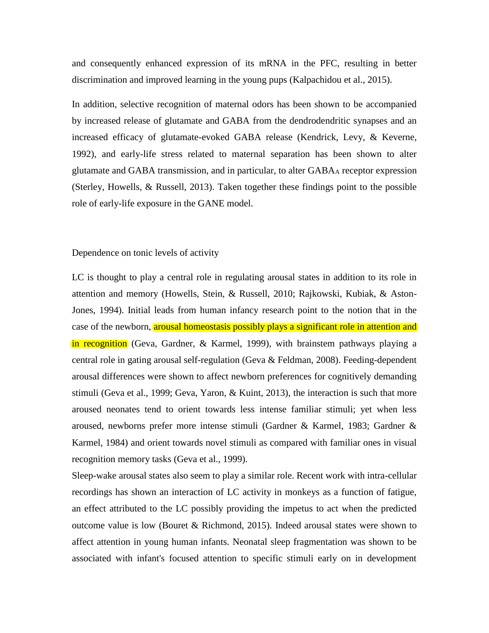and consequently enhanced expression of its mRNA in the PFC, resulting in better discrimination and improved learning in the young pups (Kalpachidou et al., 2015).

In addition, selective recognition of maternal odors has been shown to be accompanied by increased release of glutamate and GABA from the dendrodendritic synapses and an increased efficacy of glutamate-evoked GABA release (Kendrick, Levy, & Keverne, 1992), and early-life stress related to maternal separation has been shown to alter glutamate and GABA transmission, and in particular, to alter GABA<sup>A</sup> receptor expression (Sterley, Howells, & Russell, 2013). Taken together these findings point to the possible role of early-life exposure in the GANE model.

### Dependence on tonic levels of activity

LC is thought to play a central role in regulating arousal states in addition to its role in attention and memory (Howells, Stein, & Russell, 2010; Rajkowski, Kubiak, & Aston-Jones, 1994). Initial leads from human infancy research point to the notion that in the case of the newborn, arousal homeostasis possibly plays a significant role in attention and in recognition (Geva, Gardner, & Karmel, 1999), with brainstem pathways playing a central role in gating arousal self-regulation (Geva & Feldman, 2008). Feeding-dependent arousal differences were shown to affect newborn preferences for cognitively demanding stimuli (Geva et al., 1999; Geva, Yaron, & Kuint, 2013), the interaction is such that more aroused neonates tend to orient towards less intense familiar stimuli; yet when less aroused, newborns prefer more intense stimuli (Gardner & Karmel, 1983; Gardner & Karmel, 1984) and orient towards novel stimuli as compared with familiar ones in visual recognition memory tasks (Geva et al., 1999).

Sleep-wake arousal states also seem to play a similar role. Recent work with intra-cellular recordings has shown an interaction of LC activity in monkeys as a function of fatigue, an effect attributed to the LC possibly providing the impetus to act when the predicted outcome value is low (Bouret & Richmond, 2015). Indeed arousal states were shown to affect attention in young human infants. Neonatal sleep fragmentation was shown to be associated with infant's focused attention to specific stimuli early on in development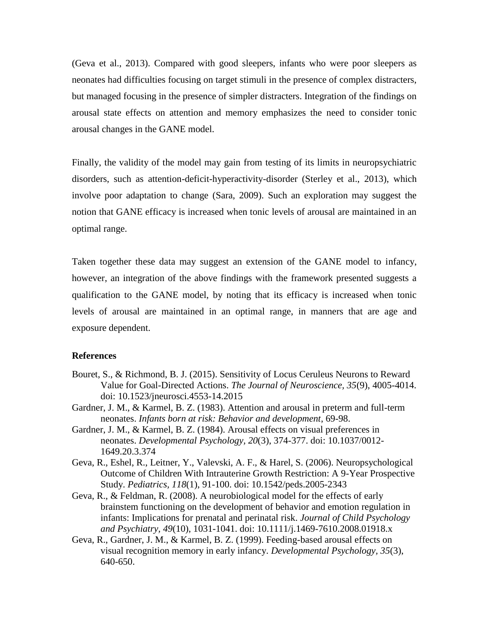(Geva et al., 2013). Compared with good sleepers, infants who were poor sleepers as neonates had difficulties focusing on target stimuli in the presence of complex distracters, but managed focusing in the presence of simpler distracters. Integration of the findings on arousal state effects on attention and memory emphasizes the need to consider tonic arousal changes in the GANE model.

Finally, the validity of the model may gain from testing of its limits in neuropsychiatric disorders, such as attention-deficit-hyperactivity-disorder (Sterley et al., 2013), which involve poor adaptation to change (Sara, 2009). Such an exploration may suggest the notion that GANE efficacy is increased when tonic levels of arousal are maintained in an optimal range.

Taken together these data may suggest an extension of the GANE model to infancy, however, an integration of the above findings with the framework presented suggests a qualification to the GANE model, by noting that its efficacy is increased when tonic levels of arousal are maintained in an optimal range, in manners that are age and exposure dependent.

## **References**

- Bouret, S., & Richmond, B. J. (2015). Sensitivity of Locus Ceruleus Neurons to Reward Value for Goal-Directed Actions. *The Journal of Neuroscience, 35*(9), 4005-4014. doi: 10.1523/jneurosci.4553-14.2015
- Gardner, J. M., & Karmel, B. Z. (1983). Attention and arousal in preterm and full-term neonates. *Infants born at risk: Behavior and development*, 69-98.
- Gardner, J. M., & Karmel, B. Z. (1984). Arousal effects on visual preferences in neonates. *Developmental Psychology, 20*(3), 374-377. doi: 10.1037/0012- 1649.20.3.374
- Geva, R., Eshel, R., Leitner, Y., Valevski, A. F., & Harel, S. (2006). Neuropsychological Outcome of Children With Intrauterine Growth Restriction: A 9-Year Prospective Study. *Pediatrics, 118*(1), 91-100. doi: 10.1542/peds.2005-2343
- Geva, R., & Feldman, R. (2008). A neurobiological model for the effects of early brainstem functioning on the development of behavior and emotion regulation in infants: Implications for prenatal and perinatal risk. *Journal of Child Psychology and Psychiatry, 49*(10), 1031-1041. doi: 10.1111/j.1469-7610.2008.01918.x
- Geva, R., Gardner, J. M., & Karmel, B. Z. (1999). Feeding-based arousal effects on visual recognition memory in early infancy. *Developmental Psychology, 35*(3), 640-650.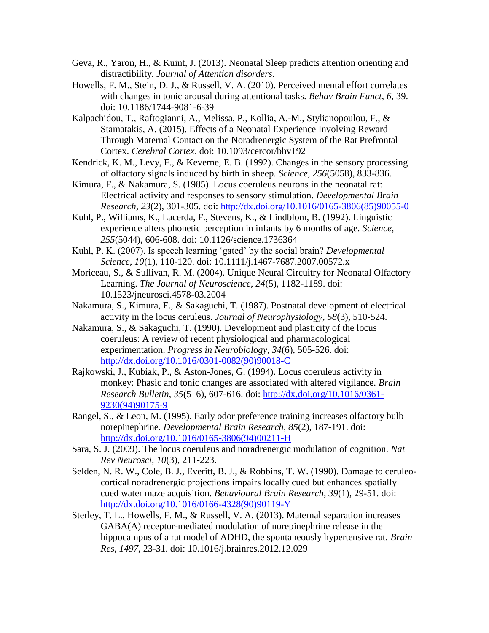- Geva, R., Yaron, H., & Kuint, J. (2013). Neonatal Sleep predicts attention orienting and distractibility. *Journal of Attention disorders*.
- Howells, F. M., Stein, D. J., & Russell, V. A. (2010). Perceived mental effort correlates with changes in tonic arousal during attentional tasks. *Behav Brain Funct, 6*, 39. doi: 10.1186/1744-9081-6-39
- Kalpachidou, T., Raftogianni, A., Melissa, P., Kollia, A.-M., Stylianopoulou, F., & Stamatakis, A. (2015). Effects of a Neonatal Experience Involving Reward Through Maternal Contact on the Noradrenergic System of the Rat Prefrontal Cortex. *Cerebral Cortex*. doi: 10.1093/cercor/bhv192
- Kendrick, K. M., Levy, F., & Keverne, E. B. (1992). Changes in the sensory processing of olfactory signals induced by birth in sheep. *Science, 256*(5058), 833-836.
- Kimura, F., & Nakamura, S. (1985). Locus coeruleus neurons in the neonatal rat: Electrical activity and responses to sensory stimulation. *Developmental Brain Research, 23*(2), 301-305. doi: [http://dx.doi.org/10.1016/0165-3806\(85\)90055-0](http://dx.doi.org/10.1016/0165-3806(85)90055-0)
- Kuhl, P., Williams, K., Lacerda, F., Stevens, K., & Lindblom, B. (1992). Linguistic experience alters phonetic perception in infants by 6 months of age. *Science, 255*(5044), 606-608. doi: 10.1126/science.1736364
- Kuhl, P. K. (2007). Is speech learning 'gated' by the social brain? *Developmental Science, 10*(1), 110-120. doi: 10.1111/j.1467-7687.2007.00572.x
- Moriceau, S., & Sullivan, R. M. (2004). Unique Neural Circuitry for Neonatal Olfactory Learning. *The Journal of Neuroscience, 24*(5), 1182-1189. doi: 10.1523/jneurosci.4578-03.2004
- Nakamura, S., Kimura, F., & Sakaguchi, T. (1987). Postnatal development of electrical activity in the locus ceruleus. *Journal of Neurophysiology, 58*(3), 510-524.
- Nakamura, S., & Sakaguchi, T. (1990). Development and plasticity of the locus coeruleus: A review of recent physiological and pharmacological experimentation. *Progress in Neurobiology, 34*(6), 505-526. doi: [http://dx.doi.org/10.1016/0301-0082\(90\)90018-C](http://dx.doi.org/10.1016/0301-0082(90)90018-C)
- Rajkowski, J., Kubiak, P., & Aston-Jones, G. (1994). Locus coeruleus activity in monkey: Phasic and tonic changes are associated with altered vigilance. *Brain Research Bulletin, 35*(5–6), 607-616. doi: [http://dx.doi.org/10.1016/0361-](http://dx.doi.org/10.1016/0361-9230(94)90175-9) [9230\(94\)90175-9](http://dx.doi.org/10.1016/0361-9230(94)90175-9)
- Rangel, S., & Leon, M. (1995). Early odor preference training increases olfactory bulb norepinephrine. *Developmental Brain Research, 85*(2), 187-191. doi: [http://dx.doi.org/10.1016/0165-3806\(94\)00211-H](http://dx.doi.org/10.1016/0165-3806(94)00211-H)
- Sara, S. J. (2009). The locus coeruleus and noradrenergic modulation of cognition. *Nat Rev Neurosci, 10*(3), 211-223.
- Selden, N. R. W., Cole, B. J., Everitt, B. J., & Robbins, T. W. (1990). Damage to ceruleocortical noradrenergic projections impairs locally cued but enhances spatially cued water maze acquisition. *Behavioural Brain Research, 39*(1), 29-51. doi: [http://dx.doi.org/10.1016/0166-4328\(90\)90119-Y](http://dx.doi.org/10.1016/0166-4328(90)90119-Y)
- Sterley, T. L., Howells, F. M., & Russell, V. A. (2013). Maternal separation increases GABA(A) receptor-mediated modulation of norepinephrine release in the hippocampus of a rat model of ADHD, the spontaneously hypertensive rat. *Brain Res, 1497*, 23-31. doi: 10.1016/j.brainres.2012.12.029